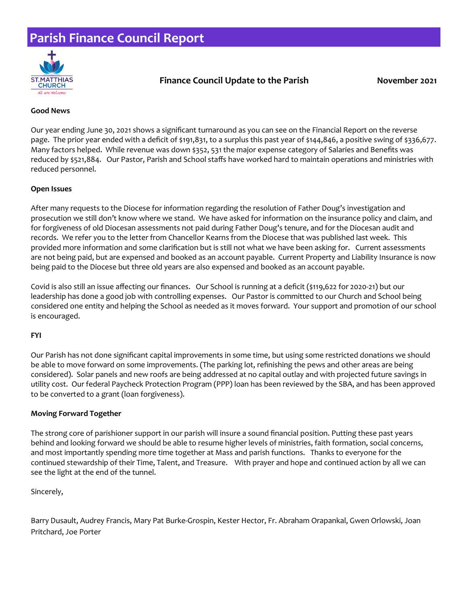## **Parish Finance Council Report**



### **Finance Council Update to the Parish November 2021**

#### **Good News**

Our year ending June 30, 2021 shows a significant turnaround as you can see on the Financial Report on the reverse page. The prior year ended with a deficit of \$191,831, to a surplus this past year of \$144,846, a positive swing of \$336,677. Many factors helped. While revenue was down \$352, 531 the major expense category of Salaries and Benefits was reduced by \$521,884. Our Pastor, Parish and School staffs have worked hard to maintain operations and ministries with reduced personnel.

#### **Open Issues**

After many requests to the Diocese for information regarding the resolution of Father Doug's investigation and prosecution we still don't know where we stand. We have asked for information on the insurance policy and claim, and for forgiveness of old Diocesan assessments not paid during Father Doug's tenure, and for the Diocesan audit and records. We refer you to the letter from Chancellor Kearns from the Diocese that was published last week. This provided more information and some clarification but is still not what we have been asking for. Current assessments are not being paid, but are expensed and booked as an account payable. Current Property and Liability Insurance is now being paid to the Diocese but three old years are also expensed and booked as an account payable.

Covid is also still an issue affecting our finances. Our School is running at a deficit (\$119,622 for 2020-21) but our leadership has done a good job with controlling expenses. Our Pastor is committed to our Church and School being considered one entity and helping the School as needed as it moves forward. Your support and promotion of our school is encouraged.

#### **FYI**

Our Parish has not done significant capital improvements in some time, but using some restricted donations we should be able to move forward on some improvements. (The parking lot, refinishing the pews and other areas are being considered). Solar panels and new roofs are being addressed at no capital outlay and with projected future savings in utility cost. Our federal Paycheck Protection Program (PPP) loan has been reviewed by the SBA, and has been approved to be converted to a grant (loan forgiveness).

#### **Moving Forward Together**

The strong core of parishioner support in our parish will insure a sound financial position. Putting these past years behind and looking forward we should be able to resume higher levels of ministries, faith formation, social concerns, and most importantly spending more time together at Mass and parish functions. Thanks to everyone for the continued stewardship of their Time, Talent, and Treasure. With prayer and hope and continued action by all we can see the light at the end of the tunnel.

#### Sincerely,

Barry Dusault, Audrey Francis, Mary Pat Burke-Grospin, Kester Hector, Fr. Abraham Orapankal, Gwen Orlowski, Joan Pritchard, Joe Porter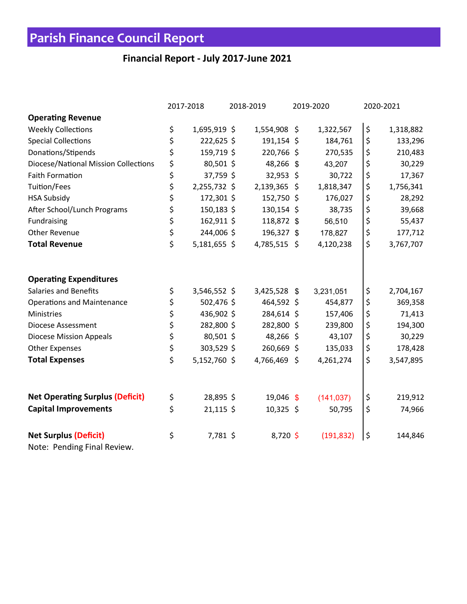# **Parish Finance Council Report**

### **Financial Report - July 2017-June 2021**

|                                        | 2017-2018 |              | 2018-2019 |              | 2019-2020 |            | 2020-2021 |           |
|----------------------------------------|-----------|--------------|-----------|--------------|-----------|------------|-----------|-----------|
| <b>Operating Revenue</b>               |           |              |           |              |           |            |           |           |
| <b>Weekly Collections</b>              | \$        | 1,695,919 \$ |           | 1,554,908 \$ |           | 1,322,567  | \$        | 1,318,882 |
| <b>Special Collections</b>             | \$        | 222,625 \$   |           | 191,154 \$   |           | 184,761    | \$        | 133,296   |
| Donations/Stipends                     | \$        | 159,719 \$   |           | 220,766 \$   |           | 270,535    | \$        | 210,483   |
| Diocese/National Mission Collections   | \$        | 80,501 \$    |           | 48,266 \$    |           | 43,207     | \$        | 30,229    |
| <b>Faith Formation</b>                 | \$        | 37,759 \$    |           | 32,953 \$    |           | 30,722     | \$        | 17,367    |
| Tuition/Fees                           | \$        | 2,255,732 \$ |           | 2,139,365 \$ |           | 1,818,347  | \$        | 1,756,341 |
| <b>HSA Subsidy</b>                     | \$        | 172,301 \$   |           | 152,750 \$   |           | 176,027    | \$        | 28,292    |
| After School/Lunch Programs            | \$        | 150,183 \$   |           | 130,154 \$   |           | 38,735     | \$        | 39,668    |
| Fundraising                            | \$        | 162,911 \$   |           | 118,872 \$   |           | 56,510     | \$        | 55,437    |
| <b>Other Revenue</b>                   | \$        | 244,006 \$   |           | 196,327 \$   |           | 178,827    | \$        | 177,712   |
| <b>Total Revenue</b>                   | \$        | 5,181,655 \$ |           | 4,785,515 \$ |           | 4,120,238  | \$        | 3,767,707 |
| <b>Operating Expenditures</b>          |           |              |           |              |           |            |           |           |
| <b>Salaries and Benefits</b>           | \$        | 3,546,552 \$ |           | 3,425,528 \$ |           | 3,231,051  | \$        | 2,704,167 |
| <b>Operations and Maintenance</b>      | \$        | 502,476 \$   |           | 464,592 \$   |           | 454,877    | \$        | 369,358   |
| Ministries                             | \$        | 436,902 \$   |           | 284,614 \$   |           | 157,406    | \$        | 71,413    |
| <b>Diocese Assessment</b>              | \$        | 282,800 \$   |           | 282,800 \$   |           | 239,800    | \$        | 194,300   |
| <b>Diocese Mission Appeals</b>         | \$        | 80,501 \$    |           | 48,266 \$    |           | 43,107     | \$        | 30,229    |
| <b>Other Expenses</b>                  | \$        | 303,529 \$   |           | 260,669 \$   |           | 135,033    | \$        | 178,428   |
| <b>Total Expenses</b>                  | \$        | 5,152,760 \$ |           | 4,766,469 \$ |           | 4,261,274  | \$        | 3,547,895 |
| <b>Net Operating Surplus (Deficit)</b> | \$        | 28,895 \$    |           | 19,046 \$    |           | (141, 037) | \$        | 219,912   |
| <b>Capital Improvements</b>            | \$        | $21,115$ \$  |           | $10,325$ \$  |           | 50,795     | \$        | 74,966    |
|                                        |           |              |           |              |           |            |           |           |
| <b>Net Surplus (Deficit)</b>           | \$        | 7,781 \$     |           | 8,720\$      |           | (191, 832) | $\zeta$   | 144,846   |
| Note: Pending Final Review.            |           |              |           |              |           |            |           |           |